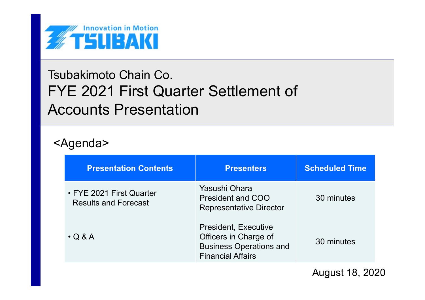

# Tsubakimoto Chain Co. FYE 2021 First Quarter Settlement of Accounts Presentation

# <Agenda>

| <b>Presentation Contents</b>                            | <b>Presenters</b>                                                                                                  | <b>Scheduled Time</b> |
|---------------------------------------------------------|--------------------------------------------------------------------------------------------------------------------|-----------------------|
| • FYE 2021 First Quarter<br><b>Results and Forecast</b> | Yasushi Ohara<br><b>President and COO</b><br><b>Representative Director</b>                                        | 30 minutes            |
| $\cdot$ Q & A                                           | <b>President, Executive</b><br>Officers in Charge of<br><b>Business Operations and</b><br><b>Financial Affairs</b> | 30 minutes            |

August 18, 2020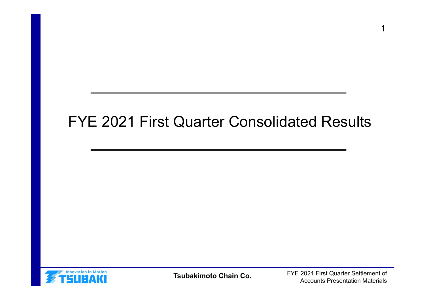# FYE 2021 First Quarter Consolidated Results



**Tsubakimoto Chain Co.**

FYE 2021 First Quarter Settlement of Accounts Presentation Materials

1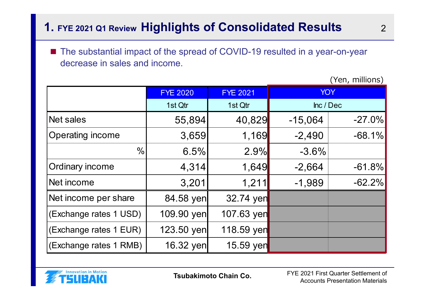# **1. FYE 2021 Q1 Review Highlights of Consolidated Results** <sup>2</sup>

■ The substantial impact of the spread of COVID-19 resulted in a year-on-year decrease in sales and income.

|                         | <b>FYE 2020</b> | <b>FYE 2021</b> | <b>YOY</b> |           |
|-------------------------|-----------------|-----------------|------------|-----------|
|                         | 1st Qtr         | 1st Qtr         | Inc / Dec  |           |
| Net sales               | 55,894          | 40,829          | $-15,064$  | $-27.0\%$ |
| <b>Operating income</b> | 3,659           | 1,169           | $-2,490$   | $-68.1%$  |
| $\frac{0}{0}$           | 6.5%            | 2.9%            | $-3.6%$    |           |
| <b>Ordinary income</b>  | 4,314           | 1,649           | $-2,664$   | $-61.8%$  |
| Net income              | 3,201           | 1,211           | $-1,989$   | $-62.2%$  |
| Net income per share    | 84.58 yen       | 32.74 yen       |            |           |
| (Exchange rates 1 USD)  | 109.90 yen      | 107.63 yen      |            |           |
| (Exchange rates 1 EUR)  | 123.50 yen      | 118.59 yen      |            |           |
| (Exchange rates 1 RMB)  | 16.32 yen       | 15.59 yen       |            |           |

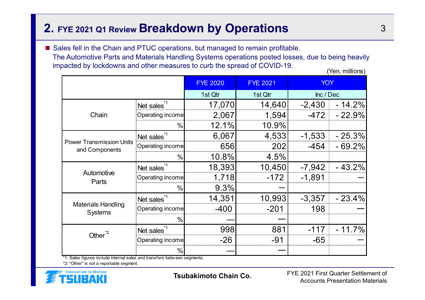## **2. FYE 2021 Q1 Review Breakdown by Operations** <sup>3</sup>

■ Sales fell in the Chain and PTUC operations, but managed to remain profitable. The Automotive Parts and Materials Handling Systems operations posted losses, due to being heavily impacted by lockdowns and other measures to curb the spread of COVID-19. (Yen, millions)

|                                                   |                         | <b>FYE 2020</b> | <b>FYE 2021</b> | <b>YOY</b> |          |
|---------------------------------------------------|-------------------------|-----------------|-----------------|------------|----------|
|                                                   |                         | 1st Qtr         | 1st Qtr         | Inc / Dec  |          |
|                                                   | Net sales <sup>*1</sup> | 17,070          | 14,640          | $-2,430$   | $-14.2%$ |
| Chain                                             | Operating income        | 2,067           | 1,594           | $-472$     | $-22.9%$ |
|                                                   | $\frac{0}{0}$           | 12.1%           | 10.9%           |            |          |
|                                                   | Net sales <sup>*1</sup> | 6,067           | 4,533           | $-1,533$   | $-25.3%$ |
| <b>Power Transmission Units</b><br>and Components | Operating income        | 656             | 202             | $-454$     | $-69.2%$ |
|                                                   | $\frac{0}{0}$           | 10.8%           | 4.5%            |            |          |
|                                                   | Net sales <sup>*1</sup> | 18,393          | 10,450          | $-7,942$   | $-43.2%$ |
| Automotive<br>Parts                               | Operating income        | 1,718           | $-172$          | $-1,891$   |          |
|                                                   | $\frac{0}{0}$           | 9.3%            |                 |            |          |
|                                                   | Net sales <sup>*1</sup> | 14,351          | 10,993          | $-3,357$   | $-23.4%$ |
| <b>Materials Handling</b><br><b>Systems</b>       | Operating income        | $-400$          | $-201$          | 198        |          |
|                                                   | $\frac{0}{0}$           |                 |                 |            |          |
|                                                   | Net sales <sup>*1</sup> | 998             | 881             | $-117$     | $-11.7%$ |
| Other <sup>*2</sup>                               | Operating income        | $-26$           | $-91$           | -65        |          |
|                                                   | $\frac{0}{0}$           |                 |                 |            |          |

\*1: Sales figures include internal sales and transfers betw een segments.

\*2: "Other" is not a reportable segment.



**Tsubakimoto Chain Co.**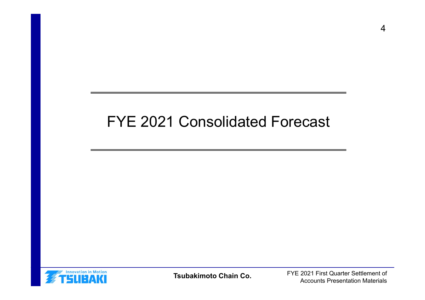# FYE 2021 Consolidated Forecast



**Tsubakimoto Chain Co.**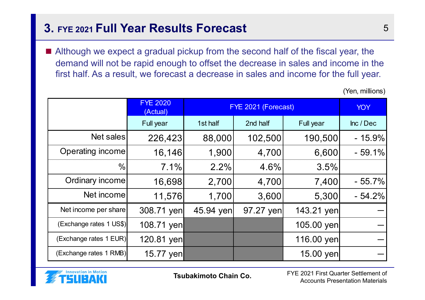## **3. FYE 2021 Full Year Results Forecast** 5

■ Although we expect a gradual pickup from the second half of the fiscal year, the demand will not be rapid enough to offset the decrease in sales and income in the first half. As a result, we forecast a decrease in sales and income for the full year.

FYE 2020(Actual) YOY FYE 2021 (Forecast)Full year 1st half 2nd half Full year 1 Inc / Dec Net sales 226,423 88,000 102,500 190,500 - 15.9% Operating income | 16,146 | 1,900 | 4,700 | 6,600 | - 59.1%  $\frac{0}{0}$  7.1% 2.2% 4.6% 3.5% Ordinary income 16,698 2,700 4,700 7,400 - 55.7% Net income 11,576 1,700 3,600 5,300 - 54.2% Net income per share  $\vert$  308.71 yen  $\vert$  45.94 yen  $\vert$  97.27 yen  $\vert$  143.21 yen  $($ Exchange rates 1 US\$ $)$  108.71 yen 105.00 yen 105.00 yen  $(Exchange \text{ rates } 1 \text{ EUR})$   $120.81 \text{ yen}$   $(116.00 \text{ yen})$  $(Exchange \text{ rates } 1 \text{ RMB})$  15.77 yen  $\vert$  15.00 yen

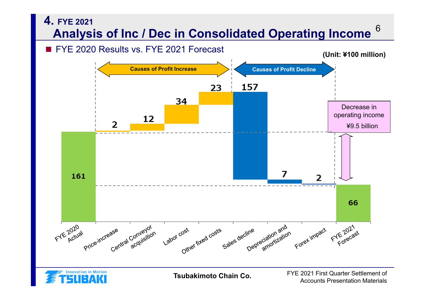

Accounts Presentation Materials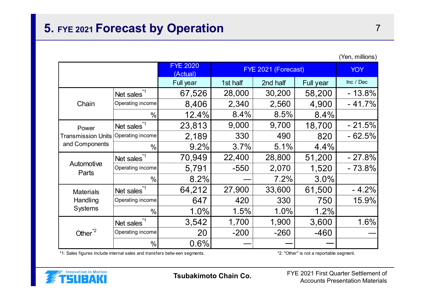## **5. FYE 2021 Forecast by Operation** <sup>7</sup>

|                            |                         | <b>FYE 2020</b><br>(Actual) | FYE 2021 (Forecast) | <b>YOY</b> |           |           |
|----------------------------|-------------------------|-----------------------------|---------------------|------------|-----------|-----------|
|                            |                         | Full year                   | 1st half            | 2nd half   | Full year | Inc / Dec |
|                            | Net sales <sup>*1</sup> | 67,526                      | 28,000              | 30,200     | 58,200    | $-13.8%$  |
| Chain                      | Operating income        | 8,406                       | 2,340               | 2,560      | 4,900     | $-41.7%$  |
|                            | $\frac{0}{0}$           | 12.4%                       | 8.4%                | 8.5%       | 8.4%      |           |
| Power                      | Net sales <sup>*1</sup> | 23,813                      | 9,000               | 9,700      | 18,700    | $-21.5%$  |
| <b>Transmission Units</b>  | Operating income        | 2,189                       | 330                 | 490        | 820       | $-62.5%$  |
| and Components             | $\frac{0}{0}$           | 9.2%                        | 3.7%                | 5.1%       | 4.4%      |           |
|                            | Net sales <sup>*1</sup> | 70,949                      | 22,400              | 28,800     | 51,200    | $-27.8%$  |
| Automotive<br>Parts        | Operating income        | 5,791                       | $-550$              | 2,070      | 1,520     | $-73.8%$  |
|                            | $\frac{0}{0}$           | 8.2%                        |                     | 7.2%       | 3.0%      |           |
| <b>Materials</b>           | Net sales <sup>*1</sup> | 64,212                      | 27,900              | 33,600     | 61,500    | $-4.2%$   |
| Handling<br><b>Systems</b> | Operating income        | 647                         | 420                 | 330        | 750       | 15.9%     |
|                            | $\%$                    | 1.0%                        | 1.5%                | 1.0%       | 1.2%      |           |
| Other <sup>"2</sup>        | Net sales <sup>*1</sup> | 3,542                       | 1,700               | 1,900      | 3,600     | 1.6%      |
|                            | Operating income        | 20                          | $-200$              | $-260$     | $-460$    |           |
|                            | %                       | 0.6%                        |                     |            |           |           |

\*1: Sales figures include internal sales and transfers betw een segments. \*2: "Other" is not a reportable segment.



**Tsubakimoto Chain Co.**

FYE 2021 First Quarter Settlement of Accounts Presentation Materials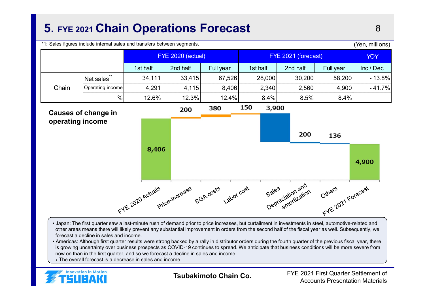# **5. FYE 2021 Chain Operations Forecast** <sup>8</sup>

\*1: Sales figures include internal sales and transfers between segments.



- Japan: The first quarter saw a last-minute rush of demand prior to price increases, but curtailment in investments in steel, automotive-related and other areas means there will likely prevent any substantial improvement in orders from the second half of the fiscal year as well. Subsequently, we forecast a decline in sales and income.
- Americas: Although first quarter results were strong backed by a rally in distributor orders during the fourth quarter of the previous fiscal year, there is growing uncertainty over business prospects as COVID-19 continues to spread. We anticipate that business conditions will be more severe from now on than in the first quarter, and so we forecast a decline in sales and income.
- $\rightarrow$  The overall forecast is a decrease in sales and income.



**Tsubakimoto Chain Co.**

FYE 2021 First Quarter Settlement of Accounts Presentation Materials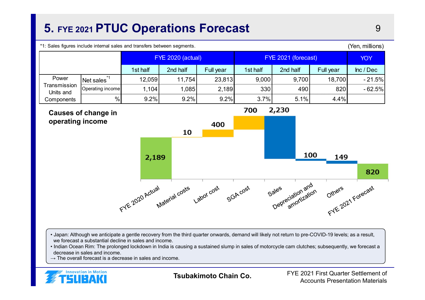# **5. FYE 2021 PTUC Operations Forecast** <sup>9</sup>

\*1: Sales figures include internal sales and transfers between segments.

|                           |                  | <b>FYE 2020 (actual)</b> |          |           | FYE 2021 (forecast) |          |           | <b>YOY</b> |
|---------------------------|------------------|--------------------------|----------|-----------|---------------------|----------|-----------|------------|
|                           |                  | 1st half                 | 2nd half | Full year | 1st half            | 2nd half | Full year | Inc / Dec  |
| Power                     | Net sales        | 12,059                   | 11,754   | 23,813    | 9,000               | 9,700    | 18,700    | $-21.5%$   |
| Transmission<br>Units and | Operating income | 1,104                    | 1,085    | 2,189     | 330                 | 490      | 820       | $-62.5%$   |
| Components                | %                | 9.2%                     | 9.2%     | 9.2%      | 3.7%                | 5.1%     | 4.4%      |            |



- Japan: Although we anticipate a gentle recovery from the third quarter onwards, demand will likely not return to pre-COVID-19 levels; as a result, we forecast a substantial decline in sales and income.
- Indian Ocean Rim: The prolonged lockdown in India is causing a sustained slump in sales of motorcycle cam clutches; subsequently, we forecast a decrease in sales and income.
- $\rightarrow$  The overall forecast is a decrease in sales and income.



**Tsubakimoto Chain Co.**

FYE 2021 First Quarter Settlement of Accounts Presentation Materials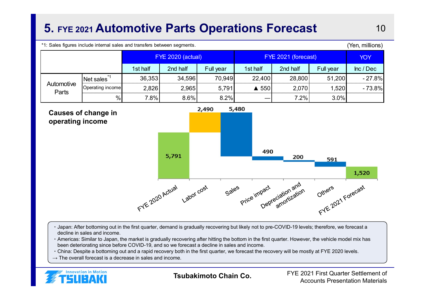# **5. FYE 2021 Automotive Parts Operations Forecast** 10

\*1: Sales figures include internal sales and transfers between segments.

|                     |                            | <b>FYE 2020 (actual)</b> |          |           | FYE 2021 (forecast) |          |           | <b>YOY</b> |
|---------------------|----------------------------|--------------------------|----------|-----------|---------------------|----------|-----------|------------|
|                     |                            | 1st half                 | 2nd half | Full year | 1st half            | 2nd half | Full year | Inc / Dec  |
| Automotive<br>Parts | $ $ Net sales $^{\degree}$ | 36,353                   | 34,596   | 70,949    | 22,400              | 28,800   | 51,200    | $-27.8%$   |
|                     | Operating income           | 2,826                    | 2,965    | 5,791     | ▲ 550               | 2,070    | 1,520     | $-73.8%$   |
|                     | %                          | 7.8%                     | 8.6%     | 8.2%      |                     | 7.2%     | 3.0%      |            |



- ・Japan: After bottoming out in the first quarter, demand is gradually recovering but likely not to pre-COVID-19 levels; therefore, we forecast a decline in sales and income.
- ・Americas: Similar to Japan, the market is gradually recovering after hitting the bottom in the first quarter. However, the vehicle model mix has been deteriorating since before COVID-19, and so we forecast a decline in sales and income.
- ・China: Despite a bottoming out and a rapid recovery both in the first quarter, we forecast the recovery will be mostly at FYE 2020 levels.
- $\rightarrow$  The overall forecast is a decrease in sales and income.



**Tsubakimoto Chain Co.**

FYE 2021 First Quarter Settlement of Accounts Presentation Materials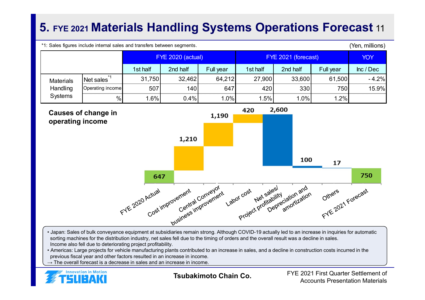# **5. FYE 2021 Materials Handling Systems Operations Forecast** <sup>11</sup>

\*1: Sales figures include internal sales and transfers between segments.

(Yen, millions)

|                                                |                  | <b>FYE 2020 (actual)</b> |          |           | FYE 2021 (forecast) |          |            | <b>YOY</b> |
|------------------------------------------------|------------------|--------------------------|----------|-----------|---------------------|----------|------------|------------|
|                                                |                  | 1st half                 | 2nd half | Full year | 1st half            | 2nd half | Full year  | Inc / Dec  |
| <b>Materials</b><br>Handling<br><b>Systems</b> | Net sales        | 31,750                   | 32,462   | 64,212    | 27,900              | 33,600   | 61,500     | $-4.2%$    |
|                                                | Operating income | 507                      | 140      | 647       | 420                 | 330      | <b>750</b> | 15.9%      |
|                                                | %                | $.6\%$                   | 0.4%     | 1.0%      | 1.5%                | 1.0%     | 1.2%       |            |



- Japan: Sales of bulk conveyance equipment at subsidiaries remain strong. Although COVID-19 actually led to an increase in inquiries for automatic sorting machines for the distribution industry, net sales fell due to the timing of orders and the overall result was a decline in sales. Income also fell due to deteriorating project profitability.
- Americas: Large projects for vehicle manufacturing plants contributed to an increase in sales, and a decline in construction costs incurred in the previous fiscal year and other factors resulted in an increase in income.
- $\rightarrow$  The overall forecast is a decrease in sales and an increase in income.



**Tsubakimoto Chain Co.**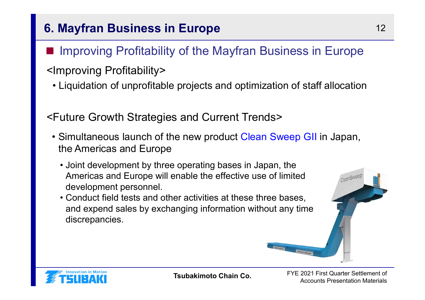# **6. Mayfran Business in Europe** 12

#### ■Improving Profitability of the Mayfran Business in Europe

# <Improving Profitability>

• Liquidation of unprofitable projects and optimization of staff allocation

<Future Growth Strategies and Current Trends>

- Simultaneous launch of the new product Clean Sweep GII in Japan, the Americas and Europe
	- Joint development by three operating bases in Japan, the Americas and Europe will enable the effective use of limited development personnel.
	- Conduct field tests and other activities at these three bases, and expend sales by exchanging information without any time discrepancies.





**Tsubakimoto Chain Co.**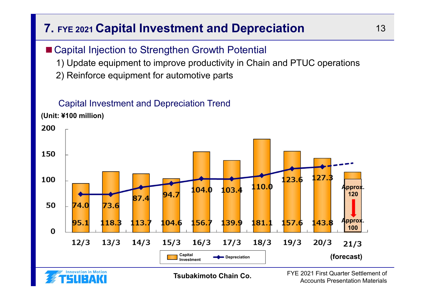# **7. FYE 2021 Capital Investment and Depreciation** 13

### ■ Capital Injection to Strengthen Growth Potential

1) Update equipment to improve productivity in Chain and PTUC operations

2) Reinforce equipment for automotive parts

#### Capital Investment and Depreciation Trend

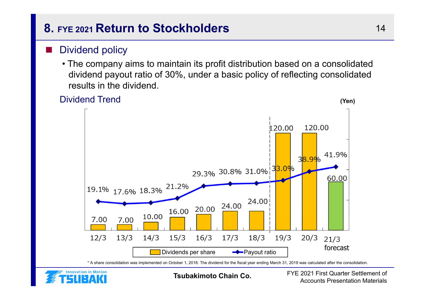# **8. FYE 2021 Return to Stockholders**

#### ■Dividend policy

• The company aims to maintain its profit distribution based on a consolidated dividend payout ratio of 30%, under a basic policy of reflecting consolidated results in the dividend.





**Tsubakimoto Chain Co.**